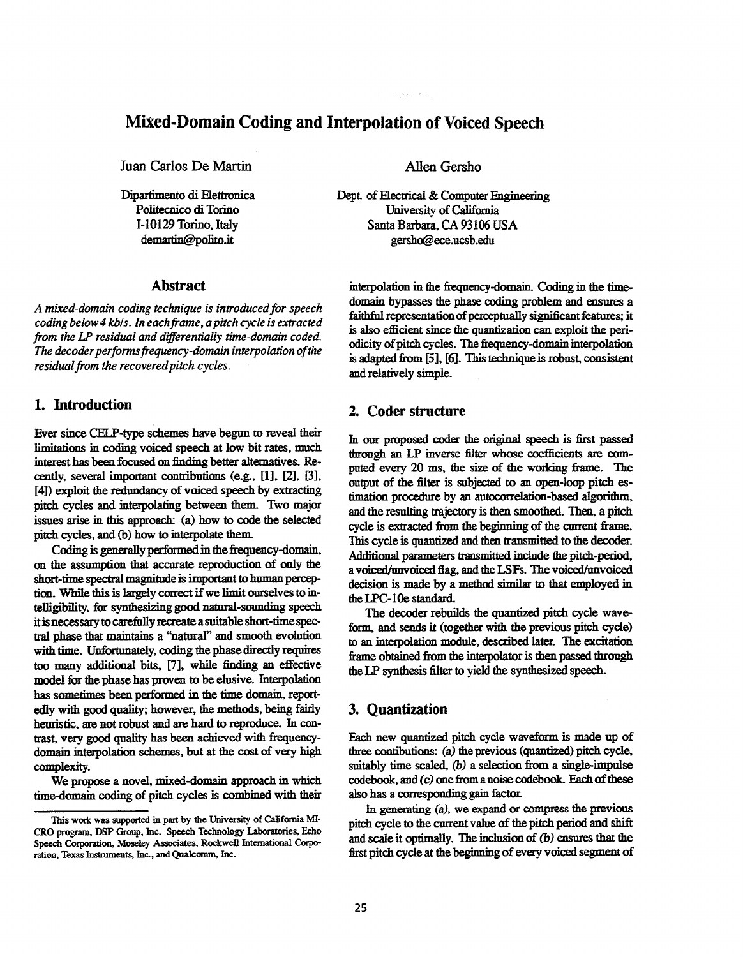# **Mixed-Domain Coding and Interpolation of Voiced Speech**

**Juan** Carlos **De Martin** 

Dipartimento di Elettronica **Politecnico di Torino** demartin@polito.it **1-10129 Torino.** Itdy

## **Abstract**

*A mined-domain coding technique is introduced for speech coding below4 kbls. In eachfiame, apitch cycle is extracted from the LP residual and differentially time-domain coded. The decoder perfonnsfrequency-domain interpolation* of *the residual from the recoveredpitch cycles.* 

#### **1. Introduction**

Ever **since** CELP-type schemes have **begun to** reveal their limitations **in** coding voiced *speech* at low bit rates, **much**  interest has been focused on finding better alternatives. Recently, several important contributions (e.g., [1], [2], [3], **[4])** exploit the redundancy of voiced **speech** by extracting pitch cycles and interpolating between them Two **major issues** arise in **this** approach: (a) how to code the selected pitch cycles, and *cb)* how **to** interpolate them

Coding is generally performed in the frequency-domain, *on* the assumption that accurate **reproduction** *of* only the short-time spectral magnitude is important to human perception. While this is largely *conect* if we limit ourselves to in**itisnecessarytocarefullyrecreateasuitableshort-timespec**tral phase that maintains a "natural" and smooth evolution with time. Unfortunately, coding the phase directly requires **too many** additional bits, **[7],** while finding **an** effective model **for** the phase **has** proven to be elusive. Interpolation **has sometimes** been **performed** in the time domain, reportedly with good quality; however, the methods, being fairly heuristic, **are** not robust and **are** hard to reproduce. In *con***trast,** very good **quality has** been **achieved** with frequencydomain interpolation **schemes,** but at the cost of very **high**  complexity. **telligibility,** for *synthesizinsgood* **natural-sounding speech** 

We **propose** a novel, **mixed-domain** approach in which time-domain coding of pitch cycles is combined with their Allen **Gersho** 

**Dept.** of Electrical & **computer** Engineering University of **California Santa** Barbara, **CA 93106 USA**  [gersho@ece.ucsb.edu](mailto:gersho@ece.ucsb.edu)

interpolation in the frequency-domain. Coding in the timedomain bypasses the phase coding problem and ensures a faithful representation of perceptually significant *features*; it is **also** efficient since the quautization *can* exploit the periodicity of pitch cycles. The frequency-domain interpolation is adapted from [5], [6]. This technique is robust, consistent **and** relatively simple.

#### **2. Coder structure**

In *our* proposed der **the** *original* speechis first passed **through an Lp** inverse **filter** whose cuefficients are computed every 20 ms, the size of the working frame. The output of the filter is **subjected** *to* **an** open-loop pitch *es*timation procedure by **an** autocoxrelation-based **algorithm,**  and the resulting trajectory is then smoothed. Then, a pitch cycle is extracted **from** the beginning of the cunent fiame. **This** cycle is quantized and then **transmitted** to the **decoder.**  Additional parameters transmitted include the pitch-period, a voiced/unvoiced flag, and the LSFs. The voiced/unvoiced **decision** is made by a method **similar to** that employed in the **LPC-lOe standard.** 

The decoder rebuilds the quantized pitch cycle wave form, **and** *sends* it (together with the previous pitch cycle) to an interpolation module, described later. The excitation frame obtained from the intexpolator is then passed **through**  the **LP synthesis filter to** yield the synthesized *speech.* 

## **3. Quantization**

Each new quantized pitch cyde waveform is made up of **three** contibutions: *(a)* the previous (quantized) pitch cycle, suitably time scaled, (b) a selection from a single-impulse **codebook and (c)** one iiom a **noise** *codebook.* **Each** *of* these **also has** a *oorresponainggain* factor.

In **geaexating (a), we expand or campress the previous**  pitch cycle to the current value of the pitch **period** and *shift*  and scale it optimally. The inclusion of (b) ensures **that** the first pitch cycle at the beginning **of every** voiced segment of

**<sup>?</sup>his work was** tapported **in part by the University** *of* **California** MI-**CRO program, DSP** *Group.* **Inc. Speech Technology** Laboraton **'es, Echo Speech Corporation, Moseley Associates, Rockwell International Corpc** $ration$ , Texas Instruments, Inc., and Qualcomm, Inc.